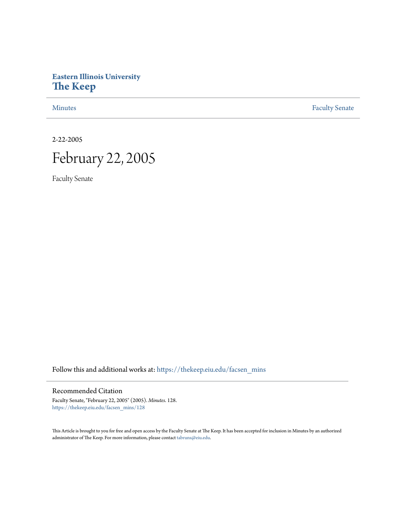# **Eastern Illinois University [The Keep](https://thekeep.eiu.edu?utm_source=thekeep.eiu.edu%2Ffacsen_mins%2F128&utm_medium=PDF&utm_campaign=PDFCoverPages)**

[Minutes](https://thekeep.eiu.edu/facsen_mins?utm_source=thekeep.eiu.edu%2Ffacsen_mins%2F128&utm_medium=PDF&utm_campaign=PDFCoverPages) **[Faculty Senate](https://thekeep.eiu.edu/fac_senate?utm_source=thekeep.eiu.edu%2Ffacsen_mins%2F128&utm_medium=PDF&utm_campaign=PDFCoverPages)** 

2-22-2005

# February 22, 2005

Faculty Senate

Follow this and additional works at: [https://thekeep.eiu.edu/facsen\\_mins](https://thekeep.eiu.edu/facsen_mins?utm_source=thekeep.eiu.edu%2Ffacsen_mins%2F128&utm_medium=PDF&utm_campaign=PDFCoverPages)

## Recommended Citation

Faculty Senate, "February 22, 2005" (2005). *Minutes*. 128. [https://thekeep.eiu.edu/facsen\\_mins/128](https://thekeep.eiu.edu/facsen_mins/128?utm_source=thekeep.eiu.edu%2Ffacsen_mins%2F128&utm_medium=PDF&utm_campaign=PDFCoverPages)

This Article is brought to you for free and open access by the Faculty Senate at The Keep. It has been accepted for inclusion in Minutes by an authorized administrator of The Keep. For more information, please contact [tabruns@eiu.edu.](mailto:tabruns@eiu.edu)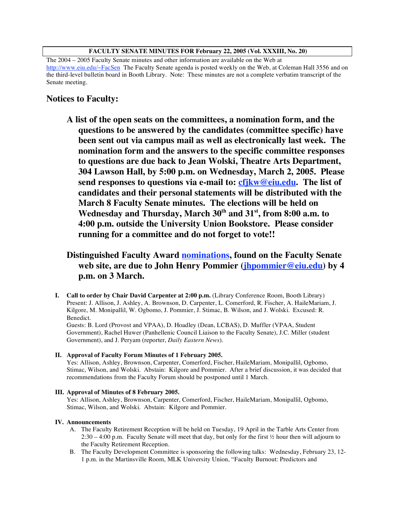#### **FACULTY SENATE MINUTES FOR February 22, 2005 (Vol. XXXIII, No. 20)**

The 2004 – 2005 Faculty Senate minutes and other information are available on the Web at http://www.eiu.edu/~FacSen The Faculty Senate agenda is posted weekly on the Web, at Coleman Hall 3556 and on the third-level bulletin board in Booth Library. Note: These minutes are not a complete verbatim transcript of the Senate meeting.

# **Notices to Faculty:**

**A list of the open seats on the committees, a nomination form, and the questions to be answered by the candidates (committee specific) have been sent out via campus mail as well as electronically last week. The nomination form and the answers to the specific committee responses to questions are due back to Jean Wolski, Theatre Arts Department, 304 Lawson Hall, by 5:00 p.m. on Wednesday, March 2, 2005. Please send responses to questions via e-mail to: cfjkw@eiu.edu. The list of candidates and their personal statements will be distributed with the March 8 Faculty Senate minutes. The elections will be held on Wednesday and Thursday, March 30th and 31st , from 8:00 a.m. to 4:00 p.m. outside the University Union Bookstore. Please consider running for a committee and do not forget to vote!!**

# **Distinguished Faculty Award nominations, found on the Faculty Senate web site, are due to John Henry Pommier (jhpommier@eiu.edu) by 4 p.m. on 3 March.**

**I. Call to order by Chair David Carpenter at 2:00 p.m.** (Library Conference Room, Booth Library) Present: J. Allison, J. Ashley, A. Brownson, D. Carpenter, L. Comerford, R. Fischer, A. HaileMariam, J. Kilgore, M. Monipallil, W. Ogbomo, J. Pommier, J. Stimac, B. Wilson, and J. Wolski. Excused: R. Benedict.

Guests: B. Lord (Provost and VPAA), D. Hoadley (Dean, LCBAS), D. Muffler (VPAA, Student Government), Rachel Huwer (Panhellenic Council Liaison to the Faculty Senate), J.C. Miller (student Government), and J. Peryam (reporter, *Daily Eastern News*).

#### **II. Approval of Faculty Forum Minutes of 1 February 2005.**

Yes: Allison, Ashley, Brownson, Carpenter, Comerford, Fischer, HaileMariam, Monipallil, Ogbomo, Stimac, Wilson, and Wolski. Abstain: Kilgore and Pommier. After a brief discussion, it was decided that recommendations from the Faculty Forum should be postponed until 1 March.

#### **III. Approval of Minutes of 8 February 2005.**

Yes: Allison, Ashley, Brownson, Carpenter, Comerford, Fischer, HaileMariam, Monipallil, Ogbomo, Stimac, Wilson, and Wolski. Abstain: Kilgore and Pommier.

#### **IV. Announcements**

- A. The Faculty Retirement Reception will be held on Tuesday, 19 April in the Tarble Arts Center from 2:30 – 4:00 p.m. Faculty Senate will meet that day, but only for the first ½ hour then will adjourn to the Faculty Retirement Reception.
- B. The Faculty Development Committee is sponsoring the following talks: Wednesday, February 23, 12- 1 p.m. in the Martinsville Room, MLK University Union, "Faculty Burnout: Predictors and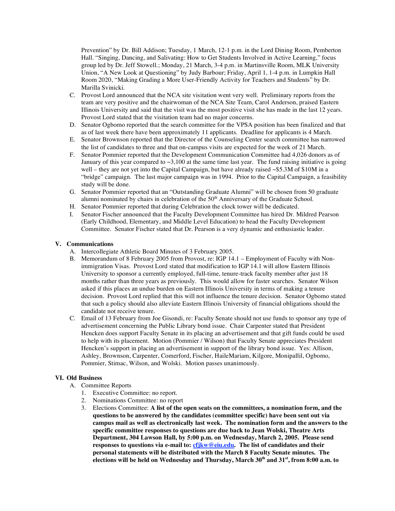Prevention" by Dr. Bill Addison; Tuesday, 1 March, 12-1 p.m. in the Lord Dining Room, Pemberton Hall. "Singing, Dancing, and Salivating: How to Get Students Involved in Active Learning," focus group led by Dr. Jeff Stowell.; Monday, 21 March, 3-4 p.m. in Martinsville Room, MLK University Union, "A New Look at Questioning" by Judy Barbour; Friday, April 1, 1-4 p.m. in Lumpkin Hall Room 2020, "Making Grading a More User-Friendly Activity for Teachers and Students" by Dr. Marilla Svinicki.

- C. Provost Lord announced that the NCA site visitation went very well. Preliminary reports from the team are very positive and the chairwoman of the NCA Site Team, Carol Anderson, praised Eastern Illinois University and said that the visit was the most positive visit she has made in the last 12 years. Provost Lord stated that the visitation team had no major concerns.
- D. Senator Ogbomo reported that the search committee for the VPSA position has been finalized and that as of last week there have been approximately 11 applicants. Deadline for applicants is 4 March.
- E. Senator Brownson reported that the Director of the Counseling Center search committee has narrowed the list of candidates to three and that on-campus visits are expected for the week of 21 March.
- F. Senator Pommier reported that the Development Communication Committee had 4,026 donors as of January of this year compared to  $\sim 3,100$  at the same time last year. The fund raising initiative is going well – they are not yet into the Capital Campaign, but have already raised  $\sim$ \$5.3M of \$10M in a "bridge" campaign. The last major campaign was in 1994. Prior to the Capital Campaign, a feasibility study will be done.
- G. Senator Pommier reported that an "Outstanding Graduate Alumni" will be chosen from 50 graduate alumni nominated by chairs in celebration of the  $50<sup>th</sup>$  Anniversary of the Graduate School.
- H. Senator Pommier reported that during Celebration the clock tower will be dedicated.
- I. Senator Fischer announced that the Faculty Development Committee has hired Dr. Mildred Pearson (Early Childhood, Elementary, and Middle Level Education) to head the Faculty Development Committee. Senator Fischer stated that Dr. Pearson is a very dynamic and enthusiastic leader.

#### **V. Communications**

- A. Intercollegiate Athletic Board Minutes of 3 February 2005.
- B. Memorandum of 8 February 2005 from Provost, re: IGP 14.1 Employment of Faculty with Nonimmigration Visas. Provost Lord stated that modification to IGP 14.1 will allow Eastern Illinois University to sponsor a currently employed, full-time, tenure-track faculty member after just 18 months rather than three years as previously. This would allow for faster searches. Senator Wilson asked if this places an undue burden on Eastern Illinois University in terms of making a tenure decision. Provost Lord replied that this will not influence the tenure decision. Senator Ogbomo stated that such a policy should also alleviate Eastern Illinois University of financial obligations should the candidate not receive tenure.
- C. Email of 13 February from Joe Gisondi, re: Faculty Senate should not use funds to sponsor any type of advertisement concerning the Public Library bond issue. Chair Carpenter stated that President Hencken does support Faculty Senate in its placing an advertisement and that gift funds could be used to help with its placement. Motion (Pommier / Wilson) that Faculty Senate appreciates President Hencken's support in placing an advertisement in support of the library bond issue. Yes: Allison, Ashley, Brownson, Carpenter, Comerford, Fischer, HaileMariam, Kilgore, Monipallil, Ogbomo, Pommier, Stimac, Wilson, and Wolski. Motion passes unanimously.

#### **VI. Old Business**

- A. Committee Reports
	- 1. Executive Committee: no report.
	- 2. Nominations Committee: no report
	- 3. Elections Committee: **A list of the open seats on the committees, a nomination form, and the questions to be answered by the candidates (committee specific) have been sent out via campus mail as well as electronically last week. The nomination form and the answers to the specific committee responses to questions are due back to Jean Wolski, Theatre Arts Department, 304 Lawson Hall, by 5:00 p.m. on Wednesday, March 2, 2005. Please send responses to questions via e-mail to: cfjkw@eiu.edu. The list of candidates and their personal statements will be distributed with the March 8 Faculty Senate minutes. The elections will be held on Wednesday and Thursday, March 30th and 31st , from 8:00 a.m. to**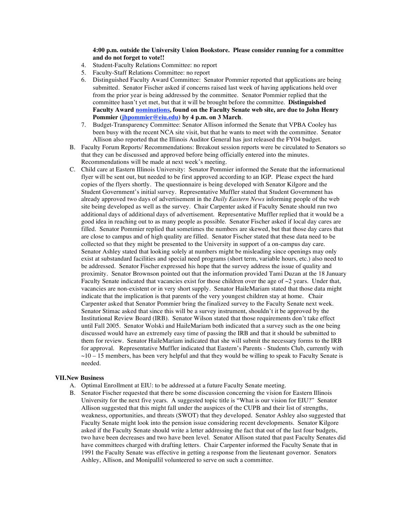#### **4:00 p.m. outside the University Union Bookstore. Please consider running for a committee and do not forget to vote!!**

- 4. Student-Faculty Relations Committee: no report
- 5. Faculty-Staff Relations Committee: no report
- 6. Distinguished Faculty Award Committee: Senator Pommier reported that applications are being submitted. Senator Fischer asked if concerns raised last week of having applications held over from the prior year is being addressed by the committee. Senator Pommier replied that the committee hasn't yet met, but that it will be brought before the committee. **Distinguished Faculty Award nominations, found on the Faculty Senate web site, are due to John Henry Pommier (jhpommier@eiu.edu) by 4 p.m. on 3 March**.
- 7. Budget-Transparency Committee: Senator Allison informed the Senate that VPBA Cooley has been busy with the recent NCA site visit, but that he wants to meet with the committee. Senator Allison also reported that the Illinois Auditor General has just released the FY04 budget.
- B. Faculty Forum Reports/ Recommendations: Breakout session reports were be circulated to Senators so that they can be discussed and approved before being officially entered into the minutes. Recommendations will be made at next week's meeting.
- C. Child care at Eastern Illinois University: Senator Pommier informed the Senate that the informational flyer will be sent out, but needed to be first approved according to an IGP. Please expect the hard copies of the flyers shortly. The questionnaire is being developed with Senator Kilgore and the Student Government's initial survey. Representative Muffler stated that Student Government has already approved two days of advertisement in the *Daily Eastern News* informing people of the web site being developed as well as the survey. Chair Carpenter asked if Faculty Senate should run two additional days of additional days of advertisement. Representative Muffler replied that it would be a good idea in reaching out to as many people as possible. Senator Fischer asked if local day cares are filled. Senator Pommier replied that sometimes the numbers are skewed, but that those day cares that are close to campus and of high quality are filled. Senator Fischer stated that these data need to be collected so that they might be presented to the University in support of a on-campus day care. Senator Ashley stated that looking solely at numbers might be misleading since openings may only exist at substandard facilities and special need programs (short term, variable hours, etc.) also need to be addressed. Senator Fischer expressed his hope that the survey address the issue of quality and proximity. Senator Brownson pointed out that the information provided Tami Duzan at the 18 January Faculty Senate indicated that vacancies exist for those children over the age of  $\sim$ 2 years. Under that, vacancies are non-existent or in very short supply. Senator HaileMariam stated that those data might indicate that the implication is that parents of the very youngest children stay at home. Chair Carpenter asked that Senator Pommier bring the finalized survey to the Faculty Senate next week. Senator Stimac asked that since this will be a survey instrument, shouldn't it be approved by the Institutional Review Board (IRB). Senator Wilson stated that those requirements don't take effect until Fall 2005. Senator Wolski and HaileMariam both indicated that a survey such as the one being discussed would have an extremely easy time of passing the IRB and that it should be submitted to them for review. Senator HaileMariam indicated that she will submit the necessary forms to the IRB for approval. Representative Muffler indicated that Eastern's Parents - Students Club, currently with  $\sim$ 10 – 15 members, has been very helpful and that they would be willing to speak to Faculty Senate is needed.

#### **VII.New Business**

- A. Optimal Enrollment at EIU: to be addressed at a future Faculty Senate meeting.
- B. Senator Fischer requested that there be some discussion concerning the vision for Eastern Illinois University for the next five years. A suggested topic title is "What is our vision for EIU?" Senator Allison suggested that this might fall under the auspices of the CUPB and their list of strengths, weakness, opportunities, and threats (SWOT) that they developed. Senator Ashley also suggested that Faculty Senate might look into the pension issue considering recent developments. Senator Kilgore asked if the Faculty Senate should write a letter addressing the fact that out of the last four budgets, two have been decreases and two have been level. Senator Allison stated that past Faculty Senates did have committees charged with drafting letters. Chair Carpenter informed the Faculty Senate that in 1991 the Faculty Senate was effective in getting a response from the lieutenant governor. Senators Ashley, Allison, and Monipallil volunteered to serve on such a committee.